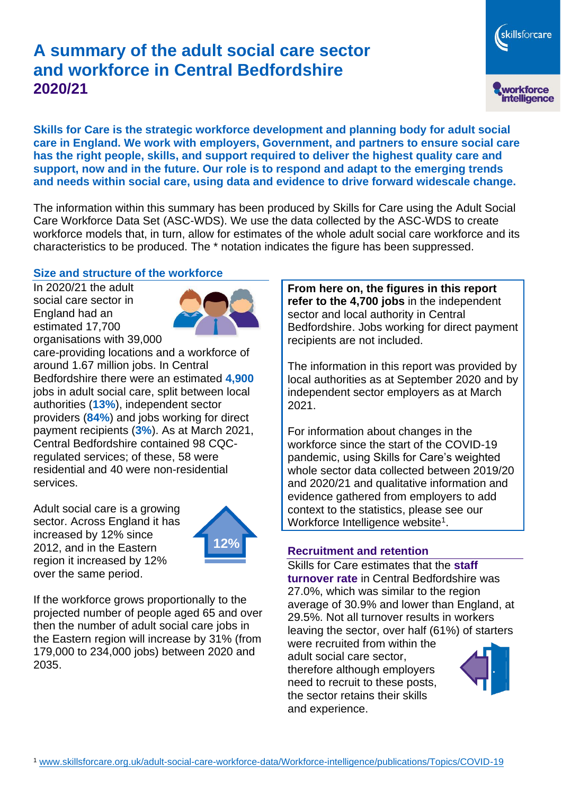# **A summary of the adult social care sector and workforce in Central Bedfordshire 2020/21**

skillsforcare workforce<br>intelligence

**Skills for Care is the strategic workforce development and planning body for adult social care in England. We work with employers, Government, and partners to ensure social care has the right people, skills, and support required to deliver the highest quality care and support, now and in the future. Our role is to respond and adapt to the emerging trends and needs within social care, using data and evidence to drive forward widescale change.**

The information within this summary has been produced by Skills for Care using the Adult Social Care Workforce Data Set (ASC-WDS). We use the data collected by the ASC-WDS to create workforce models that, in turn, allow for estimates of the whole adult social care workforce and its characteristics to be produced. The \* notation indicates the figure has been suppressed.

### **Size and structure of the workforce**

In 2020/21 the adult social care sector in England had an estimated 17,700 organisations with 39,000



care-providing locations and a workforce of around 1.67 million jobs. In Central Bedfordshire there were an estimated **4,900** jobs in adult social care, split between local authorities (**13%**), independent sector providers (**84%**) and jobs working for direct payment recipients (**3%**). As at March 2021, Central Bedfordshire contained 98 CQCregulated services; of these, 58 were residential and 40 were non-residential services.

Adult social care is a growing sector. Across England it has increased by 12% since 2012, and in the Eastern region it increased by 12% over the same period.



If the workforce grows proportionally to the projected number of people aged 65 and over then the number of adult social care jobs in the Eastern region will increase by 31% (from 179,000 to 234,000 jobs) between 2020 and 2035.

**From here on, the figures in this report refer to the 4,700 jobs** in the independent sector and local authority in Central Bedfordshire. Jobs working for direct payment recipients are not included.

The information in this report was provided by local authorities as at September 2020 and by independent sector employers as at March 2021.

For information about changes in the workforce since the start of the COVID-19 pandemic, using Skills for Care's weighted whole sector data collected between 2019/20 and 2020/21 and qualitative information and evidence gathered from employers to add context to the statistics, please see our Workforce Intelligence website<sup>1</sup>.

### **Recruitment and retention**

Skills for Care estimates that the **staff turnover rate** in Central Bedfordshire was 27.0%, which was similar to the region average of 30.9% and lower than England, at 29.5%. Not all turnover results in workers leaving the sector, over half (61%) of starters

were recruited from within the adult social care sector, therefore although employers need to recruit to these posts, the sector retains their skills and experience.

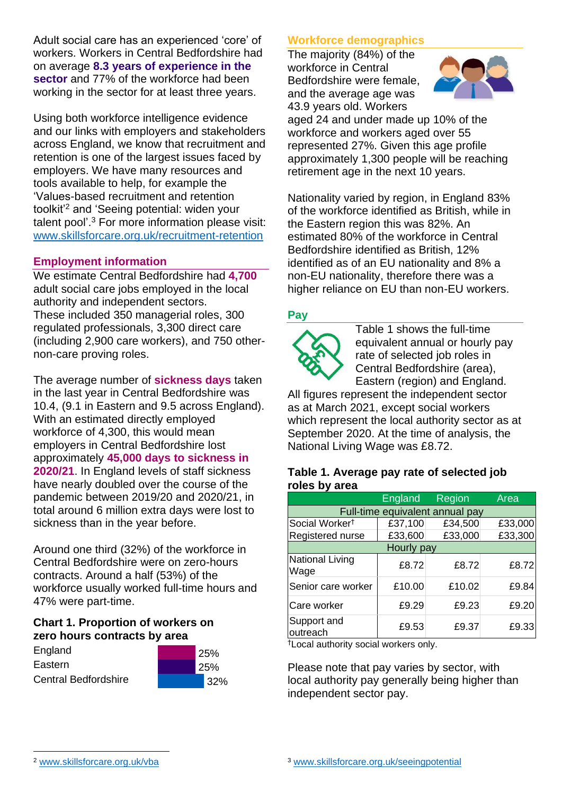Adult social care has an experienced 'core' of workers. Workers in Central Bedfordshire had on average **8.3 years of experience in the sector** and 77% of the workforce had been working in the sector for at least three years.

Using both workforce intelligence evidence and our links with employers and stakeholders across England, we know that recruitment and retention is one of the largest issues faced by employers. We have many resources and tools available to help, for example the 'Values-based recruitment and retention toolkit'<sup>2</sup> and 'Seeing potential: widen your talent pool'. <sup>3</sup> For more information please visit: [www.skillsforcare.org.uk/recruitment-retention](http://www.skillsforcare.org.uk/recruitment-retention)

### **Employment information**

We estimate Central Bedfordshire had **4,700** adult social care jobs employed in the local authority and independent sectors. These included 350 managerial roles, 300 regulated professionals, 3,300 direct care (including 2,900 care workers), and 750 othernon-care proving roles.

The average number of **sickness days** taken in the last year in Central Bedfordshire was 10.4, (9.1 in Eastern and 9.5 across England). With an estimated directly employed workforce of 4,300, this would mean employers in Central Bedfordshire lost approximately **45,000 days to sickness in 2020/21**. In England levels of staff sickness have nearly doubled over the course of the pandemic between 2019/20 and 2020/21, in total around 6 million extra days were lost to sickness than in the year before.

Around one third (32%) of the workforce in Central Bedfordshire were on zero-hours contracts. Around a half (53%) of the workforce usually worked full-time hours and 47% were part-time.

### **Chart 1. Proportion of workers on zero hours contracts by area**

| England                     | 25%  |
|-----------------------------|------|
| Eastern                     | 25%  |
| <b>Central Bedfordshire</b> | 132% |



The majority (84%) of the workforce in Central Bedfordshire were female, and the average age was 43.9 years old. Workers



aged 24 and under made up 10% of the workforce and workers aged over 55 represented 27%. Given this age profile approximately 1,300 people will be reaching retirement age in the next 10 years.

Nationality varied by region, in England 83% of the workforce identified as British, while in the Eastern region this was 82%. An estimated 80% of the workforce in Central Bedfordshire identified as British, 12% identified as of an EU nationality and 8% a non-EU nationality, therefore there was a higher reliance on EU than non-EU workers.

### **Pay**



Table 1 shows the full-time equivalent annual or hourly pay rate of selected job roles in Central Bedfordshire (area), Eastern (region) and England.

All figures represent the independent sector as at March 2021, except social workers which represent the local authority sector as at September 2020. At the time of analysis, the National Living Wage was £8.72.

#### **Table 1. Average pay rate of selected job roles by area**

|                                 | <b>England</b> | Region  | Area    |
|---------------------------------|----------------|---------|---------|
| Full-time equivalent annual pay |                |         |         |
| Social Worker <sup>t</sup>      | £37,100        | £34,500 | £33,000 |
| Registered nurse                | £33,600        | £33,000 | £33,300 |
| Hourly pay                      |                |         |         |
| National Living<br>Wage         | £8.72          | £8.72   | £8.72   |
| Senior care worker              | £10.00         | £10.02  | £9.84   |
| Care worker                     | £9.29          | £9.23   | £9.20   |
| Support and<br>outreach         | £9.53          | £9.37   | £9.33   |

†Local authority social workers only.

Please note that pay varies by sector, with local authority pay generally being higher than independent sector pay.

[www.skillsforcare.org.uk/vba](http://www.skillsforcare.org.uk/vba)